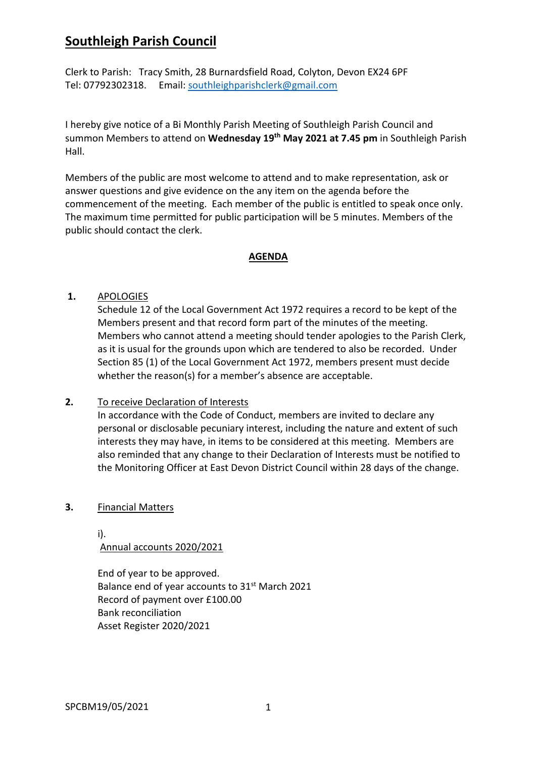# **Southleigh Parish Council**

Clerk to Parish: Tracy Smith, 28 Burnardsfield Road, Colyton, Devon EX24 6PF Tel: 07792302318. Email: southleighparishclerk@gmail.com

I hereby give notice of a Bi Monthly Parish Meeting of Southleigh Parish Council and summon Members to attend on **Wednesday 19th May 2021 at 7.45 pm** in Southleigh Parish Hall.

Members of the public are most welcome to attend and to make representation, ask or answer questions and give evidence on the any item on the agenda before the commencement of the meeting. Each member of the public is entitled to speak once only. The maximum time permitted for public participation will be 5 minutes. Members of the public should contact the clerk.

### **AGENDA**

## **1.** APOLOGIES

Schedule 12 of the Local Government Act 1972 requires a record to be kept of the Members present and that record form part of the minutes of the meeting. Members who cannot attend a meeting should tender apologies to the Parish Clerk, as it is usual for the grounds upon which are tendered to also be recorded. Under Section 85 (1) of the Local Government Act 1972, members present must decide whether the reason(s) for a member's absence are acceptable.

## **2.** To receive Declaration of Interests

In accordance with the Code of Conduct, members are invited to declare any personal or disclosable pecuniary interest, including the nature and extent of such interests they may have, in items to be considered at this meeting. Members are also reminded that any change to their Declaration of Interests must be notified to the Monitoring Officer at East Devon District Council within 28 days of the change.

#### **3.** Financial Matters

i). Annual accounts 2020/2021

End of year to be approved. Balance end of year accounts to 31<sup>st</sup> March 2021 Record of payment over £100.00 Bank reconciliation Asset Register 2020/2021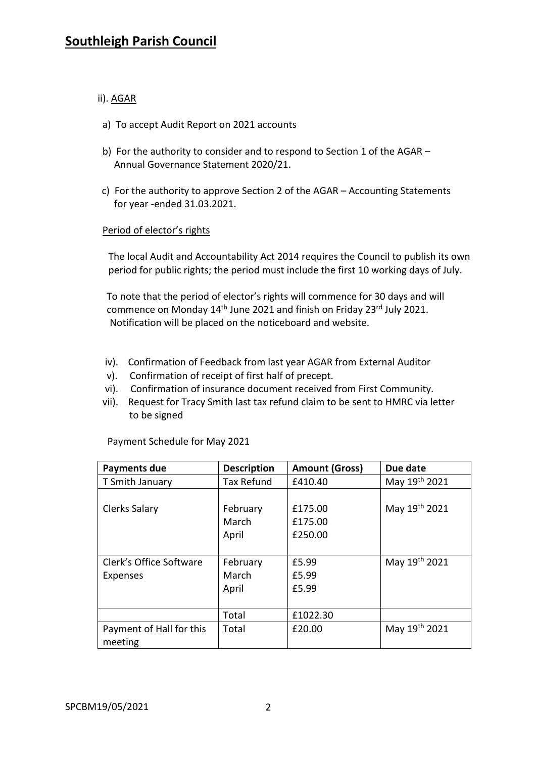# ii). AGAR

- a) To accept Audit Report on 2021 accounts
- b) For the authority to consider and to respond to Section 1 of the AGAR Annual Governance Statement 2020/21.
- c) For the authority to approve Section 2 of the AGAR Accounting Statements for year -ended 31.03.2021.

## Period of elector's rights

The local Audit and Accountability Act 2014 requires the Council to publish its own period for public rights; the period must include the first 10 working days of July.

 To note that the period of elector's rights will commence for 30 days and will commence on Monday 14<sup>th</sup> June 2021 and finish on Friday 23<sup>rd</sup> July 2021. Notification will be placed on the noticeboard and website.

- iv). Confirmation of Feedback from last year AGAR from External Auditor
- v). Confirmation of receipt of first half of precept.
- vi). Confirmation of insurance document received from First Community.
- vii). Request for Tracy Smith last tax refund claim to be sent to HMRC via letter to be signed

| Payments due                        | <b>Description</b>         | <b>Amount (Gross)</b>         | Due date      |
|-------------------------------------|----------------------------|-------------------------------|---------------|
| T Smith January                     | <b>Tax Refund</b>          | £410.40                       | May 19th 2021 |
| Clerks Salary                       | February<br>March<br>April | £175.00<br>£175.00<br>£250.00 | May 19th 2021 |
| Clerk's Office Software<br>Expenses | February<br>March<br>April | £5.99<br>£5.99<br>£5.99       | May 19th 2021 |
|                                     | Total                      | £1022.30                      |               |
| Payment of Hall for this<br>meeting | Total                      | £20.00                        | May 19th 2021 |

Payment Schedule for May 2021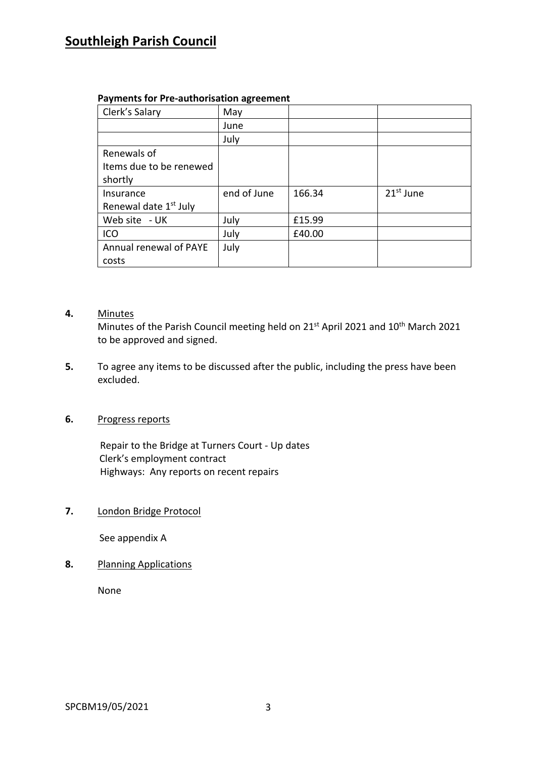# **Southleigh Parish Council**

|  | <b>Payments for Pre-authorisation agreement</b> |  |
|--|-------------------------------------------------|--|
|--|-------------------------------------------------|--|

| Clerk's Salary                    | May         |        |             |
|-----------------------------------|-------------|--------|-------------|
|                                   | June        |        |             |
|                                   | July        |        |             |
| Renewals of                       |             |        |             |
| Items due to be renewed           |             |        |             |
| shortly                           |             |        |             |
| Insurance                         | end of June | 166.34 | $21st$ June |
| Renewal date 1 <sup>st</sup> July |             |        |             |
| Web site - UK                     | July        | £15.99 |             |
| ICO                               | July        | £40.00 |             |
| Annual renewal of PAYE            | July        |        |             |
| costs                             |             |        |             |

## **4.** Minutes

Minutes of the Parish Council meeting held on 21<sup>st</sup> April 2021 and 10<sup>th</sup> March 2021 to be approved and signed.

**5.** To agree any items to be discussed after the public, including the press have been excluded.

# **6.** Progress reports

Repair to the Bridge at Turners Court - Up dates Clerk's employment contract Highways: Any reports on recent repairs

**7.** London Bridge Protocol

See appendix A

**8.** Planning Applications

None